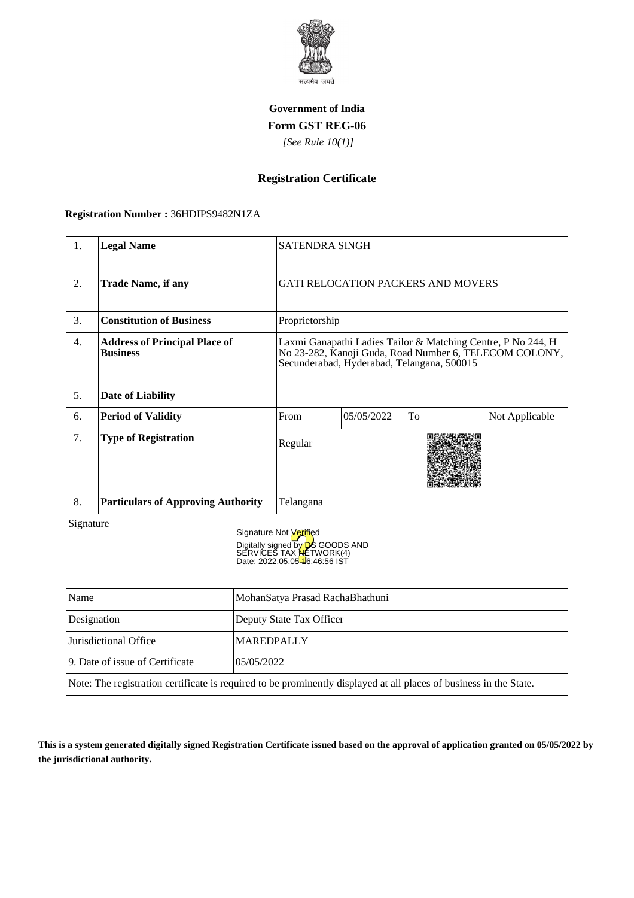

### **Government of India Form GST REG-06**

 *[See Rule 10(1)]*

# **Registration Certificate**

### **Registration Number :** 36HDIPS9482N1ZA

| 1.                                            | <b>Legal Name</b>                                                                                                  |                                 | <b>SATENDRA SINGH</b>                                                                                                                                                |            |    |                |
|-----------------------------------------------|--------------------------------------------------------------------------------------------------------------------|---------------------------------|----------------------------------------------------------------------------------------------------------------------------------------------------------------------|------------|----|----------------|
| 2.                                            | <b>Trade Name, if any</b>                                                                                          |                                 | <b>GATI RELOCATION PACKERS AND MOVERS</b>                                                                                                                            |            |    |                |
| 3.                                            | <b>Constitution of Business</b>                                                                                    |                                 | Proprietorship                                                                                                                                                       |            |    |                |
| 4.                                            | <b>Address of Principal Place of</b><br><b>Business</b>                                                            |                                 | Laxmi Ganapathi Ladies Tailor & Matching Centre, P No 244, H<br>No 23-282, Kanoji Guda, Road Number 6, TELECOM COLONY,<br>Secunderabad, Hyderabad, Telangana, 500015 |            |    |                |
| 5.                                            | <b>Date of Liability</b>                                                                                           |                                 |                                                                                                                                                                      |            |    |                |
| 6.                                            | <b>Period of Validity</b>                                                                                          |                                 | From                                                                                                                                                                 | 05/05/2022 | To | Not Applicable |
| 7.                                            | <b>Type of Registration</b>                                                                                        |                                 | Regular                                                                                                                                                              |            |    |                |
| 8.                                            | <b>Particulars of Approving Authority</b>                                                                          |                                 | Telangana                                                                                                                                                            |            |    |                |
| Signature                                     |                                                                                                                    |                                 | Signature Not Verified<br>Digitally signed by <b>DS</b> GOODS AND<br>SERVICES TAX NETWORK(4)<br>Date: 2022.05.05-46:46:56 IST                                        |            |    |                |
| Name                                          |                                                                                                                    | MohanSatya Prasad RachaBhathuni |                                                                                                                                                                      |            |    |                |
| Designation                                   |                                                                                                                    | Deputy State Tax Officer        |                                                                                                                                                                      |            |    |                |
| <b>MAREDPALLY</b><br>Jurisdictional Office    |                                                                                                                    |                                 |                                                                                                                                                                      |            |    |                |
| 9. Date of issue of Certificate<br>05/05/2022 |                                                                                                                    |                                 |                                                                                                                                                                      |            |    |                |
|                                               | Note: The registration certificate is required to be prominently displayed at all places of business in the State. |                                 |                                                                                                                                                                      |            |    |                |

**This is a system generated digitally signed Registration Certificate issued based on the approval of application granted on 05/05/2022 by the jurisdictional authority.**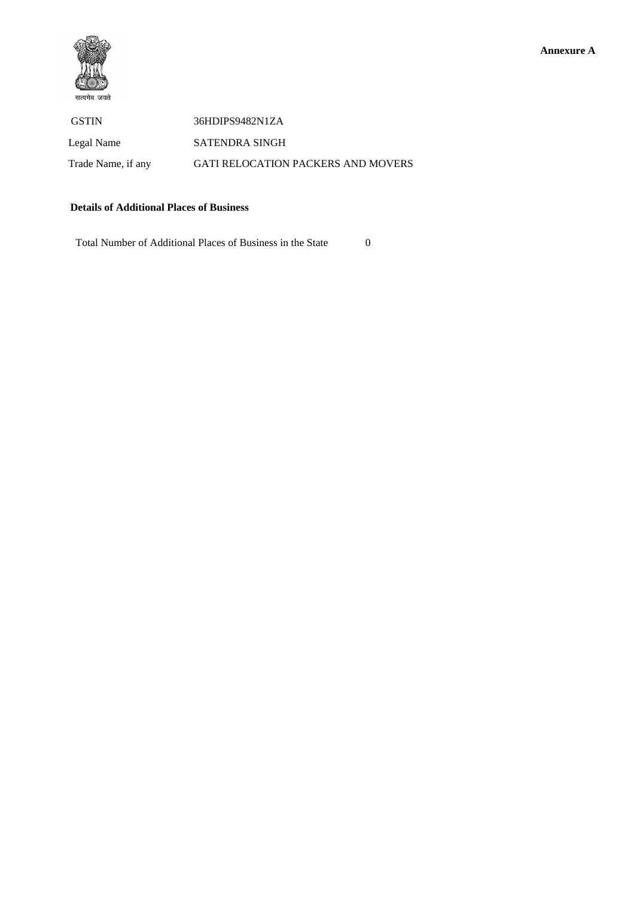

### **Details of Additional Places of Business**

Total Number of Additional Places of Business in the State 0